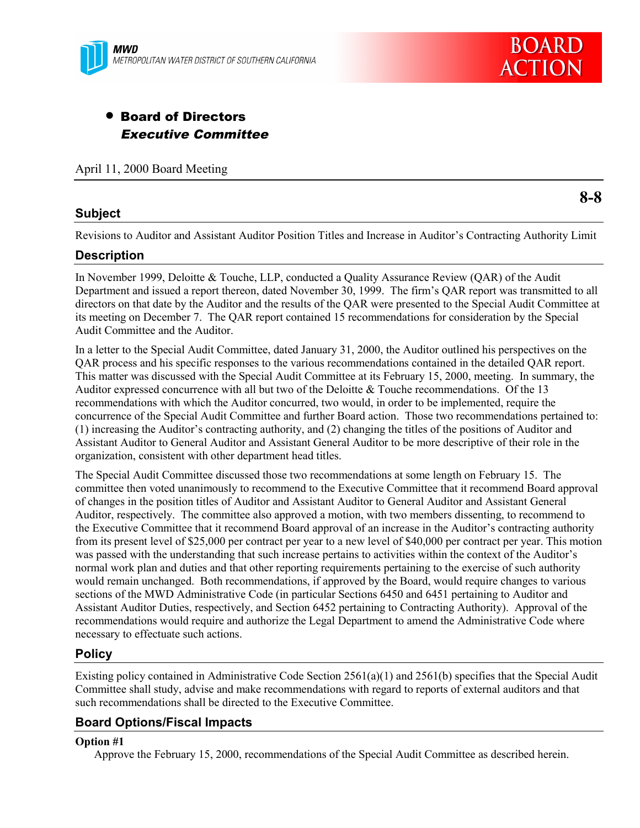

# • Board of Directors Executive Committee

April 11, 2000 Board Meeting

## **Subject**

**8-8**

Revisions to Auditor and Assistant Auditor Position Titles and Increase in Auditor's Contracting Authority Limit

#### **Description**

In November 1999, Deloitte & Touche, LLP, conducted a Quality Assurance Review (QAR) of the Audit Department and issued a report thereon, dated November 30, 1999. The firm's QAR report was transmitted to all directors on that date by the Auditor and the results of the QAR were presented to the Special Audit Committee at its meeting on December 7. The QAR report contained 15 recommendations for consideration by the Special Audit Committee and the Auditor.

In a letter to the Special Audit Committee, dated January 31, 2000, the Auditor outlined his perspectives on the QAR process and his specific responses to the various recommendations contained in the detailed QAR report. This matter was discussed with the Special Audit Committee at its February 15, 2000, meeting. In summary, the Auditor expressed concurrence with all but two of the Deloitte & Touche recommendations. Of the 13 recommendations with which the Auditor concurred, two would, in order to be implemented, require the concurrence of the Special Audit Committee and further Board action. Those two recommendations pertained to: (1) increasing the Auditor's contracting authority, and (2) changing the titles of the positions of Auditor and Assistant Auditor to General Auditor and Assistant General Auditor to be more descriptive of their role in the organization, consistent with other department head titles.

The Special Audit Committee discussed those two recommendations at some length on February 15. The committee then voted unanimously to recommend to the Executive Committee that it recommend Board approval of changes in the position titles of Auditor and Assistant Auditor to General Auditor and Assistant General Auditor, respectively. The committee also approved a motion, with two members dissenting, to recommend to the Executive Committee that it recommend Board approval of an increase in the Auditor's contracting authority from its present level of \$25,000 per contract per year to a new level of \$40,000 per contract per year. This motion was passed with the understanding that such increase pertains to activities within the context of the Auditor's normal work plan and duties and that other reporting requirements pertaining to the exercise of such authority would remain unchanged. Both recommendations, if approved by the Board, would require changes to various sections of the MWD Administrative Code (in particular Sections 6450 and 6451 pertaining to Auditor and Assistant Auditor Duties, respectively, and Section 6452 pertaining to Contracting Authority). Approval of the recommendations would require and authorize the Legal Department to amend the Administrative Code where necessary to effectuate such actions.

## **Policy**

Existing policy contained in Administrative Code Section 2561(a)(1) and 2561(b) specifies that the Special Audit Committee shall study, advise and make recommendations with regard to reports of external auditors and that such recommendations shall be directed to the Executive Committee.

## **Board Options/Fiscal Impacts**

#### **Option #1**

Approve the February 15, 2000, recommendations of the Special Audit Committee as described herein.